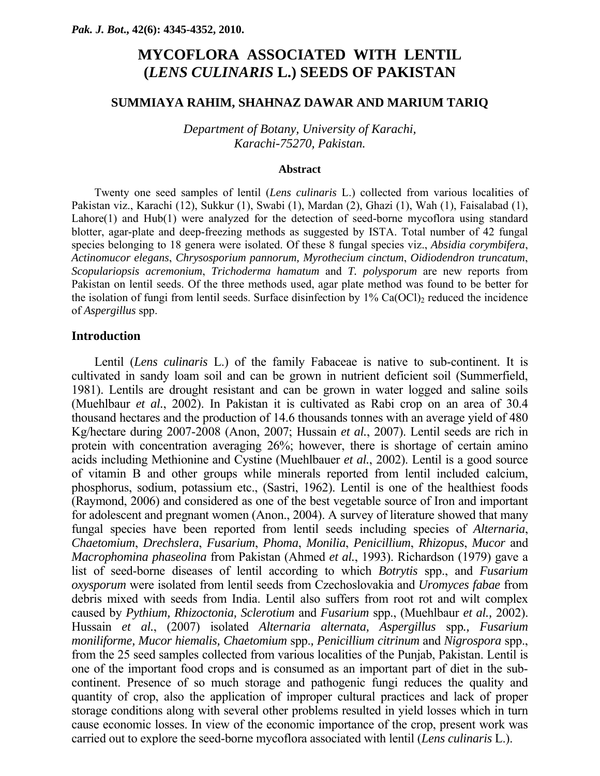# **MYCOFLORA ASSOCIATED WITH LENTIL (***LENS CULINARIS* **L.) SEEDS OF PAKISTAN**

## **SUMMIAYA RAHIM, SHAHNAZ DAWAR AND MARIUM TARIQ**

*Department of Botany, University of Karachi, Karachi-75270, Pakistan.* 

### **Abstract**

Twenty one seed samples of lentil (*Lens culinaris* L.) collected from various localities of Pakistan viz., Karachi (12), Sukkur (1), Swabi (1), Mardan (2), Ghazi (1), Wah (1), Faisalabad (1), Lahore(1) and Hub(1) were analyzed for the detection of seed-borne mycoflora using standard blotter, agar-plate and deep-freezing methods as suggested by ISTA. Total number of 42 fungal species belonging to 18 genera were isolated. Of these 8 fungal species viz., *Absidia corymbifera*, *Actinomucor elegans*, *Chrysosporium pannorum, Myrothecium cinctum*, *Oidiodendron truncatum*, *Scopulariopsis acremonium*, *Trichoderma hamatum* and *T. polysporum* are new reports from Pakistan on lentil seeds. Of the three methods used, agar plate method was found to be better for the isolation of fungi from lentil seeds. Surface disinfection by  $1\%$  Ca(OCl)<sub>2</sub> reduced the incidence of *Aspergillus* spp.

## **Introduction**

Lentil (*Lens culinaris* L.) of the family Fabaceae is native to sub-continent. It is cultivated in sandy loam soil and can be grown in nutrient deficient soil (Summerfield, 1981). Lentils are drought resistant and can be grown in water logged and saline soils (Muehlbaur *et al.*, 2002). In Pakistan it is cultivated as Rabi crop on an area of 30.4 thousand hectares and the production of 14.6 thousands tonnes with an average yield of 480 Kg/hectare during 2007-2008 (Anon, 2007; Hussain *et al.*, 2007). Lentil seeds are rich in protein with concentration averaging 26%; however, there is shortage of certain amino acids including Methionine and Cystine (Muehlbauer *et al.*, 2002). Lentil is a good source of vitamin B and other groups while minerals reported from lentil included calcium, phosphorus, sodium, potassium etc., (Sastri, 1962). Lentil is one of the healthiest foods (Raymond, 2006) and considered as one of the best vegetable source of Iron and important for adolescent and pregnant women (Anon., 2004). A survey of literature showed that many fungal species have been reported from lentil seeds including species of *Alternaria*, *Chaetomium*, *Drechslera*, *Fusarium*, *Phoma*, *Monilia*, *Penicillium*, *Rhizopus*, *Mucor* and *Macrophomina phaseolina* from Pakistan (Ahmed *et al.*, 1993). Richardson (1979) gave a list of seed-borne diseases of lentil according to which *Botrytis* spp., and *Fusarium oxysporum* were isolated from lentil seeds from Czechoslovakia and *Uromyces fabae* from debris mixed with seeds from India. Lentil also suffers from root rot and wilt complex caused by *Pythium, Rhizoctonia, Sclerotium* and *Fusarium* spp., (Muehlbaur *et al.,* 2002). Hussain *et al.*, (2007) isolated *Alternaria alternata, Aspergillus* spp*., Fusarium moniliforme, Mucor hiemalis, Chaetomium* spp.*, Penicillium citrinum* and *Nigrospora* spp., from the 25 seed samples collected from various localities of the Punjab, Pakistan. Lentil is one of the important food crops and is consumed as an important part of diet in the subcontinent. Presence of so much storage and pathogenic fungi reduces the quality and quantity of crop, also the application of improper cultural practices and lack of proper storage conditions along with several other problems resulted in yield losses which in turn cause economic losses. In view of the economic importance of the crop, present work was carried out to explore the seed-borne mycoflora associated with lentil (*Lens culinaris* L.).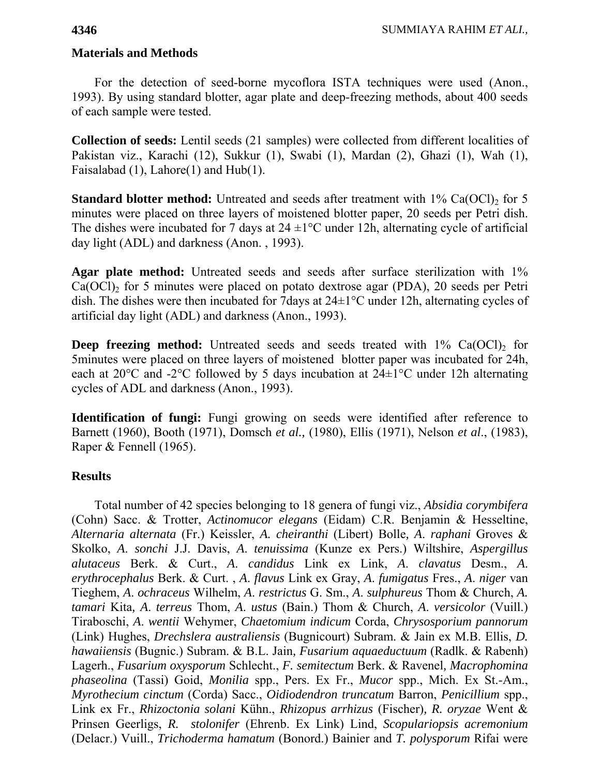**Materials and Methods** 

For the detection of seed-borne mycoflora ISTA techniques were used (Anon., 1993). By using standard blotter, agar plate and deep-freezing methods, about 400 seeds of each sample were tested.

**Collection of seeds:** Lentil seeds (21 samples) were collected from different localities of Pakistan viz., Karachi (12), Sukkur (1), Swabi (1), Mardan (2), Ghazi (1), Wah (1), Faisalabad (1), Lahore(1) and Hub(1).

**Standard blotter method:** Untreated and seeds after treatment with  $1\%$  Ca(OCl)<sub>2</sub> for 5 minutes were placed on three layers of moistened blotter paper, 20 seeds per Petri dish. The dishes were incubated for 7 days at  $24 \pm 1$ °C under 12h, alternating cycle of artificial day light (ADL) and darkness (Anon. , 1993).

**Agar plate method:** Untreated seeds and seeds after surface sterilization with 1%  $Ca(OCl)$ <sub>2</sub> for 5 minutes were placed on potato dextrose agar (PDA), 20 seeds per Petri dish. The dishes were then incubated for 7days at 24±1°C under 12h, alternating cycles of artificial day light (ADL) and darkness (Anon., 1993).

**Deep freezing method:** Untreated seeds and seeds treated with 1% Ca(OCl)<sub>2</sub> for 5minutes were placed on three layers of moistened blotter paper was incubated for 24h, each at 20°C and -2°C followed by 5 days incubation at 24±1°C under 12h alternating cycles of ADL and darkness (Anon., 1993).

**Identification of fungi:** Fungi growing on seeds were identified after reference to Barnett (1960), Booth (1971), Domsch *et al.,* (1980), Ellis (1971), Nelson *et al*., (1983), Raper & Fennell (1965).

## **Results**

Total number of 42 species belonging to 18 genera of fungi viz., *Absidia corymbifera* (Cohn) Sacc. & Trotter, *Actinomucor elegans* (Eidam) C.R. Benjamin & Hesseltine, *Alternaria alternata* (Fr.) Keissler, *A. cheiranthi* (Libert) Bolle*, A*. *raphani* Groves & Skolko, *A*. *sonchi* J.J. Davis, *A*. *tenuissima* (Kunze ex Pers.) Wiltshire, *Aspergillus alutaceus* Berk. & Curt., *A*. *candidus* Link ex Link, *A*. *clavatus* Desm., *A*. *erythrocephalus* Berk. & Curt. , *A*. *flavus* Link ex Gray, *A*. *fumigatus* Fres., *A*. *niger* van Tieghem, *A*. *ochraceus* Wilhelm, *A*. *restrictus* G. Sm., *A*. *sulphureus* Thom & Church, *A. tamari* Kita*, A*. *terreus* Thom, *A*. *ustus* (Bain.) Thom & Church, *A*. *versicolor* (Vuill.) Tiraboschi, *A*. *wentii* Wehymer, *Chaetomium indicum* Corda, *Chrysosporium pannorum* (Link) Hughes, *Drechslera australiensis* (Bugnicourt) Subram. & Jain ex M.B. Ellis, *D. hawaiiensis* (Bugnic.) Subram. & B.L. Jain*, Fusarium aquaeductuum* (Radlk. & Rabenh) Lagerh., *Fusarium oxysporum* Schlecht., *F. semitectum* Berk. & Ravenel*, Macrophomina phaseolina* (Tassi) Goid, *Monilia* spp., Pers. Ex Fr., *Mucor* spp., Mich. Ex St.-Am., *Myrothecium cinctum* (Corda) Sacc., *Oidiodendron truncatum* Barron, *Penicillium* spp., Link ex Fr., *Rhizoctonia solani* Kühn., *Rhizopus arrhizus* (Fischer)*, R. oryzae* Went & Prinsen Geerligs, *R. stolonifer* (Ehrenb. Ex Link) Lind, *Scopulariopsis acremonium* (Delacr.) Vuill., *Trichoderma hamatum* (Bonord.) Bainier and *T. polysporum* Rifai were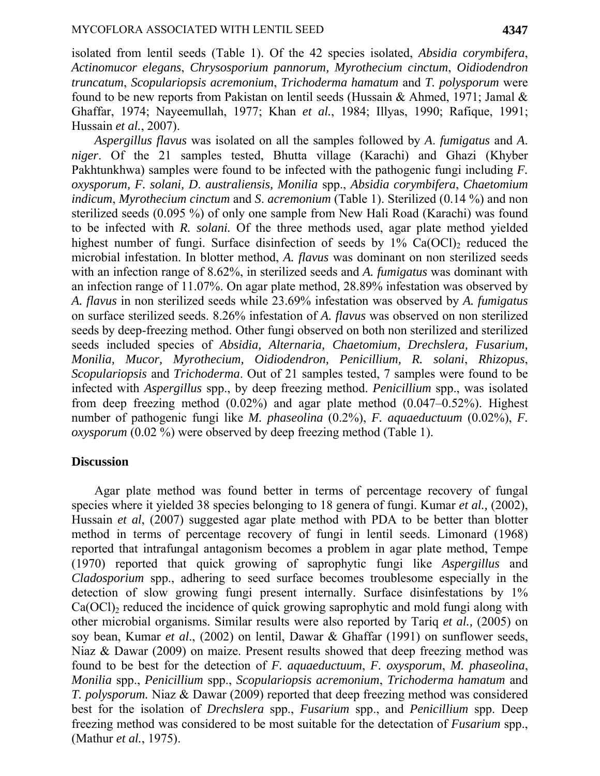isolated from lentil seeds (Table 1). Of the 42 species isolated, *Absidia corymbifera*, *Actinomucor elegans*, *Chrysosporium pannorum, Myrothecium cinctum*, *Oidiodendron truncatum*, *Scopulariopsis acremonium*, *Trichoderma hamatum* and *T. polysporum* were found to be new reports from Pakistan on lentil seeds (Hussain & Ahmed, 1971; Jamal & Ghaffar, 1974; Nayeemullah, 1977; Khan *et al.*, 1984; Illyas, 1990; Rafique, 1991; Hussain *et al.*, 2007).

*Aspergillus flavus* was isolated on all the samples followed by *A*. *fumigatus* and *A*. *niger*. Of the 21 samples tested, Bhutta village (Karachi) and Ghazi (Khyber Pakhtunkhwa) samples were found to be infected with the pathogenic fungi including *F. oxysporum, F. solani, D*. *australiensis, Monilia* spp., *Absidia corymbifera*, *Chaetomium indicum*, *Myrothecium cinctum* and *S*. *acremonium* (Table 1). Sterilized (0.14 %) and non sterilized seeds (0.095 %) of only one sample from New Hali Road (Karachi) was found to be infected with *R. solani.* Of the three methods used, agar plate method yielded highest number of fungi. Surface disinfection of seeds by  $1\%$  Ca(OCl)<sub>2</sub> reduced the microbial infestation. In blotter method, *A. flavus* was dominant on non sterilized seeds with an infection range of 8.62%, in sterilized seeds and *A. fumigatus* was dominant with an infection range of 11.07%. On agar plate method, 28.89% infestation was observed by *A. flavus* in non sterilized seeds while 23.69% infestation was observed by *A. fumigatus* on surface sterilized seeds. 8.26% infestation of *A. flavus* was observed on non sterilized seeds by deep-freezing method. Other fungi observed on both non sterilized and sterilized seeds included species of *Absidia, Alternaria, Chaetomium, Drechslera, Fusarium, Monilia, Mucor, Myrothecium, Oidiodendron, Penicillium, R. solani*, *Rhizopus*, *Scopulariopsis* and *Trichoderma*. Out of 21 samples tested, 7 samples were found to be infected with *Aspergillus* spp., by deep freezing method. *Penicillium* spp., was isolated from deep freezing method (0.02%) and agar plate method (0.047–0.52%). Highest number of pathogenic fungi like *M. phaseolina* (0.2%), *F. aquaeductuum* (0.02%), *F. oxysporum* (0.02 %) were observed by deep freezing method (Table 1).

## **Discussion**

Agar plate method was found better in terms of percentage recovery of fungal species where it yielded 38 species belonging to 18 genera of fungi. Kumar *et al.,* (2002), Hussain *et al*, (2007) suggested agar plate method with PDA to be better than blotter method in terms of percentage recovery of fungi in lentil seeds. Limonard (1968) reported that intrafungal antagonism becomes a problem in agar plate method, Tempe (1970) reported that quick growing of saprophytic fungi like *Aspergillus* and *Cladosporium* spp., adhering to seed surface becomes troublesome especially in the detection of slow growing fungi present internally. Surface disinfestations by 1%  $Ca(OCl)<sub>2</sub>$  reduced the incidence of quick growing saprophytic and mold fungi along with other microbial organisms. Similar results were also reported by Tariq *et al.,* (2005) on soy bean, Kumar *et al*., (2002) on lentil, Dawar & Ghaffar (1991) on sunflower seeds, Niaz & Dawar (2009) on maize. Present results showed that deep freezing method was found to be best for the detection of *F. aquaeductuum*, *F. oxysporum*, *M. phaseolina*, *Monilia* spp., *Penicillium* spp., *Scopulariopsis acremonium*, *Trichoderma hamatum* and *T. polysporum.* Niaz & Dawar (2009) reported that deep freezing method was considered best for the isolation of *Drechslera* spp., *Fusarium* spp., and *Penicillium* spp. Deep freezing method was considered to be most suitable for the detectation of *Fusarium* spp., (Mathur *et al.*, 1975).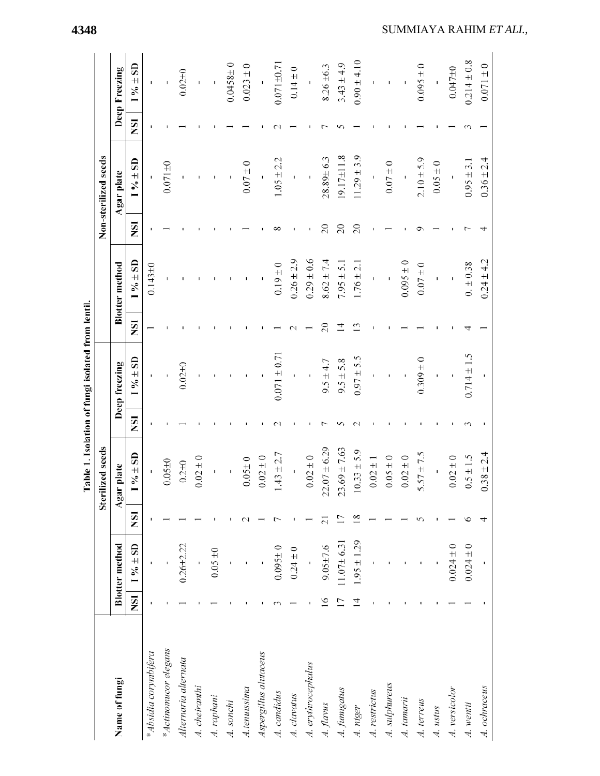|                       |                |                       |    |                  |            | Table 1. Isolation of fungi isolated from lentil. |                 |                       |           |                      |           |                  |
|-----------------------|----------------|-----------------------|----|------------------|------------|---------------------------------------------------|-----------------|-----------------------|-----------|----------------------|-----------|------------------|
|                       |                |                       |    | Sterilized seeds |            |                                                   |                 |                       |           | Non-sterilized seeds |           |                  |
| Name of fungi         |                | <b>Blotter</b> method |    | Agar plate       |            | Deep freezing                                     |                 | <b>Blotter</b> method |           | Agar plate           |           | Deep Freezing    |
|                       | <b>ISN</b>     | $1\% \pm SD$          | ΣÑ | $1\% \pm SD$     | <b>NSI</b> | $1\% \pm SD$                                      | <b>ISI</b>      | $1\% \pm SD$          | KSI       | $1\% + SD$           | <b>SI</b> | $1\% \pm SD$     |
| * Absidia corymbifera |                |                       |    |                  |            |                                                   |                 | $0.143 \pm 0$         |           |                      |           |                  |
| * Actinomucor elegans |                |                       |    | $0.05 + 0$       |            |                                                   |                 |                       |           | $0.071 + 0$          |           |                  |
| Alternaria alternata  |                | $0.26 + 2.22$         |    | $0.2 + 0$        |            | $0.02 + 0$                                        |                 |                       |           |                      |           | $0.02 + 0$       |
| A. cheiranthi         |                |                       |    | $0.02 \pm 0$     |            |                                                   |                 |                       |           |                      |           |                  |
| A. raphani            |                | $0.05 \pm 0$          |    |                  |            |                                                   |                 |                       |           |                      |           |                  |
| A. sonchi             |                |                       |    |                  |            |                                                   |                 |                       |           |                      |           | $0.0458 + 0$     |
| A.tenuissima          |                |                       |    | $0.05 \pm 0$     |            |                                                   |                 |                       |           | $0.07 \pm 0$         |           | $0.023 \pm 0$    |
| Aspergillus alutaceus |                |                       |    | $0.02 \pm 0$     |            |                                                   |                 |                       |           |                      |           |                  |
| A. candidus           |                | $0.095 \pm 0$         |    | $1.43 \pm 2.7$   |            | $0.071 \pm 0.71$                                  |                 | $0.19 \pm 0$          |           | $1.05 \pm 2.2$       |           | $0.071 \pm 0.71$ |
| A. clavatus           |                | $0.24 \pm 0$          |    |                  |            |                                                   |                 | $0.26 \pm 2.9$        |           |                      |           | $0.14 \pm 0$     |
| A. erythrocephalus    |                |                       |    | $0.02 \pm 0$     |            |                                                   |                 | $0.29 \pm 0.6$        |           | ı                    |           |                  |
| A. flavus             | $\overline{6}$ | $9.05 + 7.6$          |    | $22.07 \pm 6.29$ |            | $9.5 \pm 4.7$                                     | $\overline{20}$ | $8.62 \pm 7.4$        | $\approx$ | 28.89±6.3            |           | $8.26 \pm 6.3$   |
| A. funnigatus         |                | $11.07 \pm 6.31$      |    | $23.69 \pm 7.63$ |            | $9.5 \pm 5.8$                                     |                 | $7.95 \pm 5.1$        | $\approx$ | 19.17±11.8           |           | $3.43 \pm 4.9$   |
| A. niger              | $\overline{4}$ | $1.95 \pm 1.29$       |    | $10.33 \pm 5.9$  |            | $0.97 \pm 5.5$                                    |                 | $1.76 \pm 2.1$        | $\approx$ | $11.29 \pm 3.9$      |           | $0.90 \pm 4.10$  |
| A. restrictus         |                |                       |    | $0.02\pm1$       |            |                                                   |                 |                       |           |                      |           |                  |
| A. sulphureus         |                |                       |    | $0.05 \pm 0$     |            |                                                   |                 |                       |           | $0.07 \pm 0$         |           |                  |
| A. tamarii            |                |                       |    | $0.02 \pm 0$     |            |                                                   |                 | $0.095 \pm 0$         |           |                      |           |                  |
| A. terreus            |                |                       |    | $5.57 \pm 7.5$   |            | $0.309 \pm 0$                                     |                 | $0.07 \pm 0$          |           | $2.10 \pm 5.9$       |           | $0.095 \pm 0$    |
| A. ustus              |                |                       |    |                  |            |                                                   |                 |                       |           | $0.05 \pm 0$         |           |                  |
| A. versicolor         |                | $0.024 \pm 0$         |    | $0.02 \pm 0$     |            |                                                   |                 | $\mathbf I$           |           |                      |           | $0.047 + 0$      |
| A. wentii             |                | $0.024 \pm 0$         |    | $0.5 \pm 1.5$    |            | $0.714 \pm 1.5$                                   |                 | $0. \pm 0.38$         |           | $0.95 \pm 3.1$       |           | $0.214 \pm 0.8$  |
| A. ochraceus          |                |                       |    | $0.38 \pm 2.4$   |            |                                                   |                 | $0.24 \pm 4.2$        |           | $0.36 \pm 2.4$       |           | $0.071 \pm 0$    |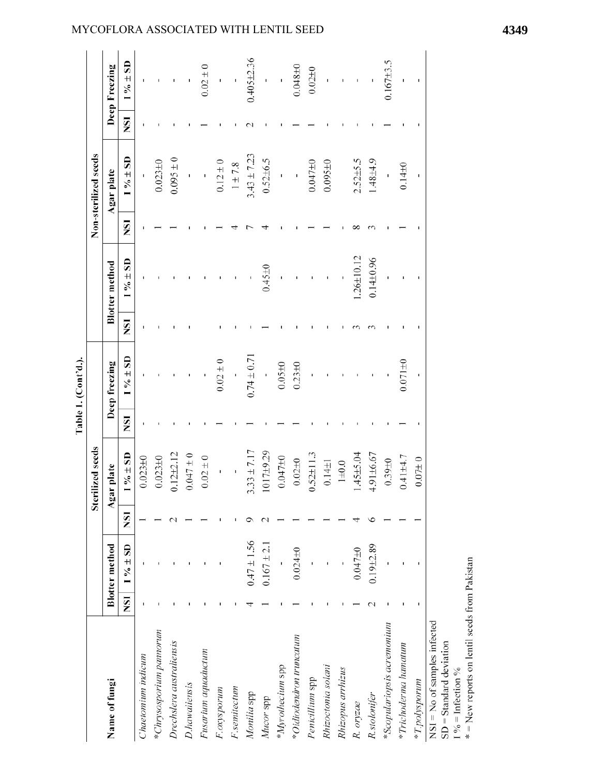|                                                                                       |                       |            | Sterilized seeds   |            |                 |            |                       |            | Non-sterilized seeds |            |                          |
|---------------------------------------------------------------------------------------|-----------------------|------------|--------------------|------------|-----------------|------------|-----------------------|------------|----------------------|------------|--------------------------|
| Name of fungi                                                                         | <b>Blotter</b> method | Agar       | plate              |            | Deep freezing   |            | <b>Blotter</b> method |            | Agar plate           |            | Deep Freezing            |
| <b>NSI</b>                                                                            | $1\% \pm SD$          | <b>ISN</b> | $\% \pm \text{SD}$ | <b>ISN</b> | $1\% \pm SD$    | <b>ISN</b> | $\% \pm SD$           | <b>ISN</b> | $1\% + SD$           | <b>ISN</b> | $1\% \pm SD$             |
| Chaetomum indicum                                                                     |                       |            | $0.023 + 0$        |            |                 |            |                       |            |                      |            |                          |
| *Chrysosporium pannorum                                                               |                       |            | $0.023 + 0$        |            |                 |            |                       |            | $0.023 + 0$          |            |                          |
| Drechslera australiensis                                                              |                       |            | $0.12 + 2.12$      |            |                 |            |                       |            | $0.095 \pm 0$        |            |                          |
| D.hawaiiensis                                                                         |                       |            | $0.047 \pm 0$      |            |                 |            |                       |            | Ï                    |            |                          |
| Fusarium aquaductum                                                                   |                       |            | $0.02\pm0$         |            |                 |            |                       |            | j                    |            | $0.02\pm0$               |
| F.oxysporum                                                                           |                       |            | ı,                 |            | $0.02 \pm 0$    |            |                       |            | $0.12 \pm 0$         |            |                          |
| F.semitectum                                                                          |                       |            |                    |            | J,              |            |                       |            | $1\pm7.8$            |            | $\overline{\phantom{a}}$ |
| Monilia spp                                                                           | $0.47 \pm 1.56$       |            | $3.33 \pm 7.17$    |            | $0.74 \pm 0.71$ |            |                       |            | $3.43 \pm 7.23$      |            | $0.405 + 2.36$           |
| Mucor spp                                                                             | $0.167 \pm 2.1$       |            | 1017±9.29          |            |                 |            | $0.45 + 0$            |            | $0.52 + 6.5$         |            |                          |
| *Myrothecium spp                                                                      |                       |            | 0.04710            |            | $0.05 \pm 0$    |            | ï                     |            | $\overline{1}$       |            | $\bar{1}$                |
| *Oidiodendron truncatum                                                               | $0.024 \pm 0$         |            | $0.02 + 0$         |            | $0.23 + 0$      |            |                       |            |                      |            | $0.048 + 0$              |
| Penicillium spp                                                                       |                       |            | $0.52 \pm 11.3$    |            |                 |            |                       |            | $0.047 + 0$          |            | 0.0210                   |
| Rhizoctonia solani                                                                    |                       |            | $0.14 \pm 1$       |            |                 |            |                       |            | $0.095 \pm 0$        |            |                          |
| Rhizopus arrhizus                                                                     |                       |            | $1\pm0.0$          |            |                 |            |                       |            |                      |            |                          |
| R. oryzae                                                                             | 0.04710               |            | $.45 \pm 5.04$     |            |                 |            | $.26 \pm 10.12$       |            | $2.52{\pm}5.5$       |            | $\mathbf{I}$             |
| R.stolonifer                                                                          | $0.19 + 2.89$         |            | $4.91 \pm 6.67$    |            |                 |            | $0.14 \pm 0.96$       |            | $1.48 + 4.9$         |            |                          |
| *Scopulariopsis acremonium                                                            |                       |            | $0.39 + 0$         |            |                 |            |                       |            | Ŷ,                   |            | $0.167 + 3.5$            |
| *Trichoderma hamatum                                                                  |                       |            | $0.41 + 4.7$       |            | $0.071 \pm 0$   |            |                       |            | $0.14 + 0$           |            |                          |
| *T.polysporum                                                                         |                       |            | $0.07\pm 0$        |            |                 |            |                       |            |                      |            |                          |
| $NSI = No$ of samples infected<br>$SD = Standard deviation$<br>$1\%$ = Infection $\%$ |                       |            |                    |            |                 |            |                       |            |                      |            |                          |
| * = New reports on lentil seeds from Pakistan                                         |                       |            |                    |            |                 |            |                       |            |                      |            |                          |

## MYCOFLORA ASSOCIATED WITH LENTIL SEED **4349**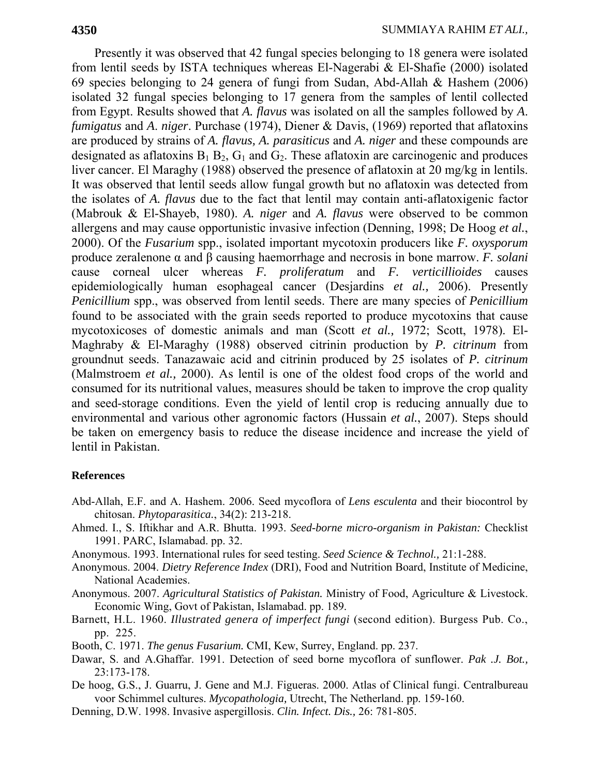Presently it was observed that 42 fungal species belonging to 18 genera were isolated from lentil seeds by ISTA techniques whereas El-Nagerabi & El-Shafie (2000) isolated 69 species belonging to 24 genera of fungi from Sudan, Abd-Allah & Hashem (2006) isolated 32 fungal species belonging to 17 genera from the samples of lentil collected from Egypt. Results showed that *A. flavus* was isolated on all the samples followed by *A*. *fumigatus* and *A*. *niger*. Purchase (1974), Diener & Davis, (1969) reported that aflatoxins are produced by strains of *A. flavus, A. parasiticus* and *A. niger* and these compounds are designated as aflatoxins  $B_1 B_2$ ,  $G_1$  and  $G_2$ . These aflatoxin are carcinogenic and produces liver cancer. El Maraghy (1988) observed the presence of aflatoxin at 20 mg/kg in lentils. It was observed that lentil seeds allow fungal growth but no aflatoxin was detected from the isolates of *A. flavus* due to the fact that lentil may contain anti-aflatoxigenic factor (Mabrouk & El-Shayeb, 1980). *A. niger* and *A. flavus* were observed to be common allergens and may cause opportunistic invasive infection (Denning, 1998; De Hoog *et al.*, 2000). Of the *Fusarium* spp., isolated important mycotoxin producers like *F. oxysporum*  produce zeralenone α and β causing haemorrhage and necrosis in bone marrow. *F. solani*  cause corneal ulcer whereas *F. proliferatum* and *F. verticillioides* causes epidemiologically human esophageal cancer (Desjardins *et al.,* 2006). Presently *Penicillium* spp., was observed from lentil seeds. There are many species of *Penicillium* found to be associated with the grain seeds reported to produce mycotoxins that cause mycotoxicoses of domestic animals and man (Scott *et al.,* 1972; Scott, 1978). El-Maghraby & El-Maraghy (1988) observed citrinin production by *P. citrinum* from groundnut seeds. Tanazawaic acid and citrinin produced by 25 isolates of *P. citrinum* (Malmstroem *et al.,* 2000). As lentil is one of the oldest food crops of the world and consumed for its nutritional values, measures should be taken to improve the crop quality and seed-storage conditions. Even the yield of lentil crop is reducing annually due to environmental and various other agronomic factors (Hussain *et al.*, 2007). Steps should be taken on emergency basis to reduce the disease incidence and increase the yield of lentil in Pakistan.

## **References**

- Abd-Allah, E.F. and A. Hashem. 2006. Seed mycoflora of *Lens esculenta* and their biocontrol by chitosan. *Phytoparasitica.*, 34(2): 213-218.
- Ahmed. I., S. Iftikhar and A.R. Bhutta. 1993. *Seed-borne micro-organism in Pakistan:* Checklist 1991. PARC, Islamabad. pp. 32.
- Anonymous. 1993. International rules for seed testing. *Seed Science & Technol.,* 21:1-288.
- Anonymous. 2004. *Dietry Reference Index* (DRI), Food and Nutrition Board, Institute of Medicine, National Academies.
- Anonymous. 2007. *Agricultural Statistics of Pakistan.* Ministry of Food, Agriculture & Livestock. Economic Wing, Govt of Pakistan, Islamabad. pp. 189.
- Barnett, H.L. 1960. *Illustrated genera of imperfect fungi* (second edition). Burgess Pub. Co., pp. 225.
- Booth, C. 1971. *The genus Fusarium.* CMI, Kew, Surrey, England. pp. 237.
- Dawar, S. and A.Ghaffar. 1991. Detection of seed borne mycoflora of sunflower. *Pak .J. Bot.,*  23:173-178.
- De hoog, G.S., J. Guarru, J. Gene and M.J. Figueras. 2000. Atlas of Clinical fungi. Centralbureau voor Schimmel cultures. *Mycopathologia,* Utrecht, The Netherland. pp. 159-160.
- Denning, D.W. 1998. Invasive aspergillosis. *Clin. Infect. Dis.,* 26: 781-805.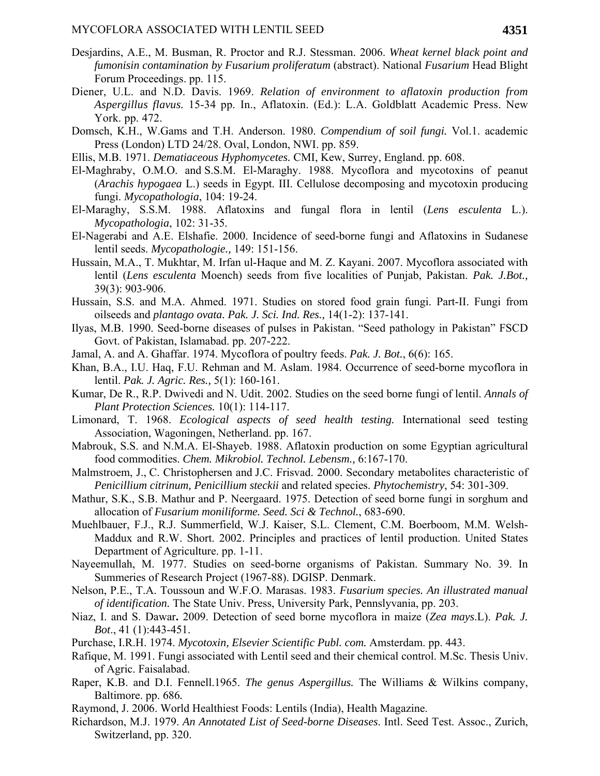- Desjardins, A.E., M. Busman, R. Proctor and R.J. Stessman. 2006. *Wheat kernel black point and fumonisin contamination by Fusarium proliferatum* (abstract). National *Fusarium* Head Blight Forum Proceedings. pp. 115.
- Diener, U.L. and N.D. Davis. 1969. *Relation of environment to aflatoxin production from Aspergillus flavus.* 15-34 pp. In., Aflatoxin. (Ed.): L.A. Goldblatt Academic Press. New York. pp. 472.
- Domsch, K.H., W.Gams and T.H. Anderson. 1980. *Compendium of soil fungi.* Vol.1. academic Press (London) LTD 24/28. Oval, London, NWI. pp. 859.
- Ellis, M.B. 1971. *Dematiaceous Hyphomycetes.* CMI, Kew, Surrey, England. pp. 608.
- El-Maghraby, O.M.O. and S.S.M. El-Maraghy. 1988. Mycoflora and mycotoxins of peanut (*Arachis hypogaea* L.) seeds in Egypt. III. Cellulose decomposing and mycotoxin producing fungi. *Mycopathologia*, 104: 19-24.
- El-Maraghy, S.S.M. 1988. Aflatoxins and fungal flora in lentil (*Lens esculenta* L.). *Mycopathologia*, 102: 31-35.
- El-Nagerabi and A.E. Elshafie. 2000. Incidence of seed-borne fungi and Aflatoxins in Sudanese lentil seeds. *Mycopathologie.,* 149: 151-156.
- Hussain, M.A., T. Mukhtar, M. Irfan ul-Haque and M. Z. Kayani. 2007. Mycoflora associated with lentil (*Lens esculenta* Moench) seeds from five localities of Punjab, Pakistan. *Pak. J.Bot.,* 39(3): 903-906.
- Hussain, S.S. and M.A. Ahmed. 1971. Studies on stored food grain fungi. Part-II. Fungi from oilseeds and *plantago ovata. Pak. J. Sci. Ind. Res.,* 14(1-2): 137-141.
- Ilyas, M.B. 1990. Seed-borne diseases of pulses in Pakistan. "Seed pathology in Pakistan" FSCD Govt. of Pakistan, Islamabad. pp. 207-222.
- Jamal, A. and A. Ghaffar. 1974. Mycoflora of poultry feeds. *Pak. J. Bot.*, 6(6): 165.
- Khan, B.A., I.U. Haq, F.U. Rehman and M. Aslam. 1984. Occurrence of seed-borne mycoflora in lentil. *Pak. J. Agric. Res.,* 5(1): 160-161.
- Kumar, De R., R.P. Dwivedi and N. Udit. 2002. Studies on the seed borne fungi of lentil. *Annals of Plant Protection Sciences.* 10(1): 114-117.
- Limonard, T. 1968. *Ecological aspects of seed health testing.* International seed testing Association, Wagoningen, Netherland. pp. 167.
- Mabrouk, S.S. and N.M.A. El-Shayeb. 1988. Aflatoxin production on some Egyptian agricultural food commodities. *Chem. Mikrobiol. Technol. Lebensm.,* 6:167-170.
- Malmstroem, J., C. Christophersen and J.C. Frisvad. 2000. Secondary metabolites characteristic of *Penicillium citrinum, Penicillium steckii* and related species. *Phytochemistry*, 54: 301-309.
- Mathur, S.K., S.B. Mathur and P. Neergaard. 1975. Detection of seed borne fungi in sorghum and allocation of *Fusarium moniliforme. Seed. Sci & Technol.*, 683-690.
- Muehlbauer, F.J., R.J. Summerfield, W.J. Kaiser, S.L. Clement, C.M. Boerboom, M.M. Welsh-Maddux and R.W. Short. 2002. Principles and practices of lentil production. United States Department of Agriculture. pp. 1-11.
- Nayeemullah, M. 1977. Studies on seed-borne organisms of Pakistan. Summary No. 39. In Summeries of Research Project (1967-88). DGISP. Denmark.
- Nelson, P.E., T.A. Toussoun and W.F.O. Marasas. 1983. *Fusarium species. An illustrated manual of identification.* The State Univ. Press, University Park, Pennslyvania, pp. 203.
- Niaz, I. and S. Dawar**.** 2009. Detection of seed borne mycoflora in maize (*Zea mays*.L). *Pak. J. Bot*., 41 (1):443-451.
- Purchase, I.R.H. 1974. *Mycotoxin, Elsevier Scientific Publ. com.* Amsterdam. pp. 443.
- Rafique, M. 1991. Fungi associated with Lentil seed and their chemical control. M.Sc. Thesis Univ. of Agric. Faisalabad.
- Raper, K.B. and D.I. Fennell.1965. *The genus Aspergillus.* The Williams & Wilkins company, Baltimore. pp. 686*.*
- Raymond, J. 2006. World Healthiest Foods: Lentils (India), Health Magazine.
- Richardson, M.J. 1979. *An Annotated List of Seed-borne Diseases*. Intl. Seed Test. Assoc., Zurich, Switzerland, pp. 320.